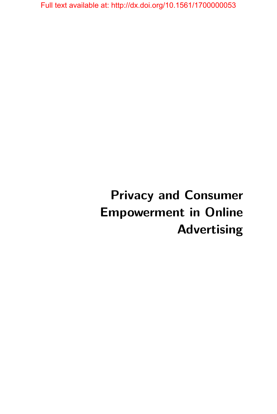# **Privacy and Consumer Empowerment in Online Advertising**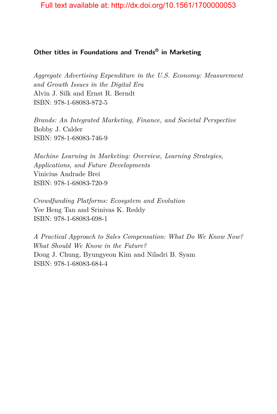### **Other titles in Foundations and Trends® in Marketing**

*Aggregate Advertising Expenditure in the U.S. Economy: Measurement and Growth Issues in the Digital Era* Alvin J. Silk and Ernst R. Berndt ISBN: 978-1-68083-872-5

*Brands: An Integrated Marketing, Finance, and Societal Perspective* Bobby J. Calder ISBN: 978-1-68083-746-9

*Machine Learning in Marketing: Overview, Learning Strategies, Applications, and Future Developments* Vinicius Andrade Brei ISBN: 978-1-68083-720-9

*Crowdfunding Platforms: Ecosystem and Evolution* Yee Heng Tan and Srinivas K. Reddy ISBN: 978-1-68083-698-1

*A Practical Approach to Sales Compensation: What Do We Know Now? What Should We Know in the Future?* Doug J. Chung, Byungyeon Kim and Niladri B. Syam ISBN: 978-1-68083-684-4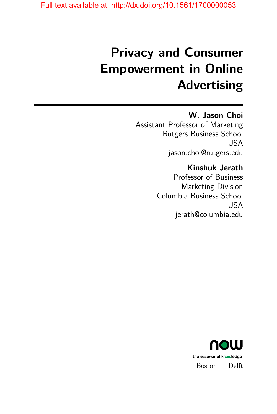# **Privacy and Consumer Empowerment in Online Advertising**

## **W. Jason Choi**

Assistant Professor of Marketing Rutgers Business School USA jason.choi@rutgers.edu

## **Kinshuk Jerath**

Professor of Business Marketing Division Columbia Business School USA jerath@columbia.edu

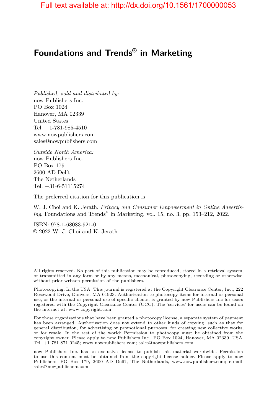# **Foundations and Trends® in Marketing**

*Published, sold and distributed by:* now Publishers Inc. PO Box 1024 Hanover, MA 02339 United States Tel. +1-781-985-4510 www.nowpublishers.com sales@nowpublishers.com

*Outside North America:* now Publishers Inc. PO Box 179 2600 AD Delft The Netherlands Tel. +31-6-51115274

The preferred citation for this publication is

W. J. Choi and K. Jerath. *Privacy and Consumer Empowerment in Online Advertising*. Foundations and Trends® in Marketing, vol. 15, no. 3, pp. 153–212, 2022.

ISBN: 978-1-68083-921-0 © 2022 W. J. Choi and K. Jerath

All rights reserved. No part of this publication may be reproduced, stored in a retrieval system, or transmitted in any form or by any means, mechanical, photocopying, recording or otherwise, without prior written permission of the publishers.

Photocopying. In the USA: This journal is registered at the Copyright Clearance Center, Inc., 222 Rosewood Drive, Danvers, MA 01923. Authorization to photocopy items for internal or personal use, or the internal or personal use of specific clients, is granted by now Publishers Inc for users registered with the Copyright Clearance Center (CCC). The 'services' for users can be found on the internet at: www.copyright.com

For those organizations that have been granted a photocopy license, a separate system of payment has been arranged. Authorization does not extend to other kinds of copying, such as that for general distribution, for advertising or promotional purposes, for creating new collective works, or for resale. In the rest of the world: Permission to photocopy must be obtained from the copyright owner. Please apply to now Publishers Inc., PO Box 1024, Hanover, MA 02339, USA; Tel. +1 781 871 0245; www.nowpublishers.com; sales@nowpublishers.com

now Publishers Inc. has an exclusive license to publish this material worldwide. Permission to use this content must be obtained from the copyright license holder. Please apply to now Publishers, PO Box 179, 2600 AD Delft, The Netherlands, www.nowpublishers.com; e-mail: sales@nowpublishers.com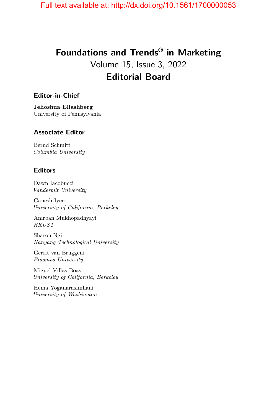# **Foundations and Trends® in Marketing** Volume 15, Issue 3, 2022 **Editorial Board**

### **Editor-in-Chief**

**Jehoshua Eliashberg** University of Pennsylvania

### **Associate Editor**

Bernd Schmitt *Columbia University*

### **Editors**

Dawn Iacobucci *Vanderbilt University*

Ganesh Iyeri *University of California, Berkeley*

Anirban Mukhopadhyayi *HKUST*

Sharon Ngi *Nanyang Technological University*

Gerrit van Bruggeni *Erasmus University*

Miguel Villas Boasi *University of California, Berkeley*

Hema Yoganarasimhani *University of Washington*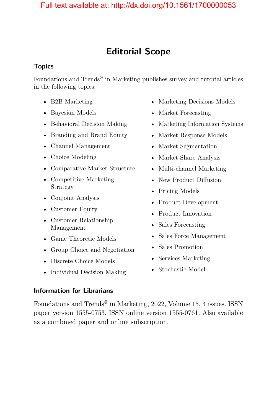# **Editorial Scope**

### **Topics**

Foundations and Trends<sup>®</sup> in Marketing publishes survey and tutorial articles in the following topics:

- B2B Marketing
- Bayesian Models
- Behavioral Decision Making
- Branding and Brand Equity
- Channel Management
- Choice Modeling
- Comparative Market Structure
- Competitive Marketing Strategy
- Conjoint Analysis
- Customer Equity
- Customer Relationship Management
- Game Theoretic Models
- Group Choice and Negotiation
- Discrete Choice Models
- Individual Decision Making
- Marketing Decisions Models
- Market Forecasting
- Marketing Information Systems
- Market Response Models
- Market Segmentation
- Market Share Analysis
- Multi-channel Marketing
- New Product Diffusion
- Pricing Models
- Product Development
- Product Innovation
- Sales Forecasting
- Sales Force Management
- Sales Promotion
- Services Marketing
- Stochastic Model

### **Information for Librarians**

Foundations and Trends® in Marketing, 2022, Volume 15, 4 issues. ISSN paper version 1555-0753. ISSN online version 1555-0761. Also available as a combined paper and online subscription.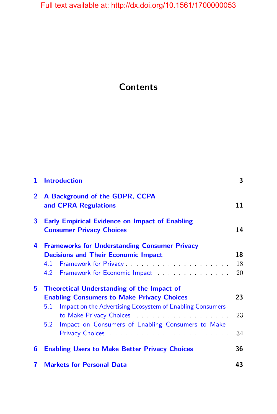# **Contents**

| 1              | <b>Introduction</b>                                                                                                                                                                                                                    |                |  |  |
|----------------|----------------------------------------------------------------------------------------------------------------------------------------------------------------------------------------------------------------------------------------|----------------|--|--|
| $\overline{2}$ | A Background of the GDPR, CCPA<br>and <b>CPRA</b> Regulations                                                                                                                                                                          |                |  |  |
| 3              | <b>Early Empirical Evidence on Impact of Enabling</b><br><b>Consumer Privacy Choices</b>                                                                                                                                               |                |  |  |
| 4              | <b>Frameworks for Understanding Consumer Privacy</b><br><b>Decisions and Their Economic Impact</b><br>4.1<br>Framework for Economic Impact Pramework for Economic Impact<br>4.2                                                        | 18<br>18<br>20 |  |  |
| 5.             | <b>Theoretical Understanding of the Impact of</b><br><b>Enabling Consumers to Make Privacy Choices</b><br>Impact on the Advertising Ecosystem of Enabling Consumers<br>5.1<br>Impact on Consumers of Enabling Consumers to Make<br>5.2 | 23<br>23<br>34 |  |  |
| 6              | <b>Enabling Users to Make Better Privacy Choices</b>                                                                                                                                                                                   | 36             |  |  |
| 7              | 43<br><b>Markets for Personal Data</b>                                                                                                                                                                                                 |                |  |  |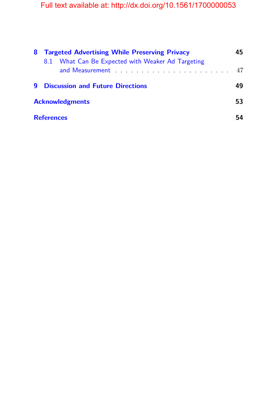| 8 | <b>Targeted Advertising While Preserving Privacy</b> |                                                   |    |  |
|---|------------------------------------------------------|---------------------------------------------------|----|--|
|   |                                                      | 8.1 What Can Be Expected with Weaker Ad Targeting | 47 |  |
| q |                                                      | <b>Discussion and Future Directions</b>           | 49 |  |
|   | <b>Acknowledgments</b>                               |                                                   |    |  |
|   | <b>References</b>                                    |                                                   |    |  |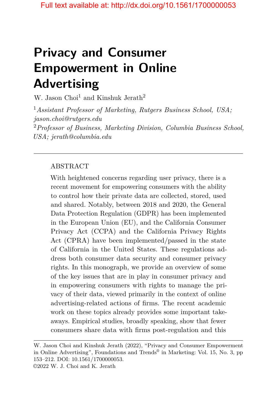# **Privacy and Consumer Empowerment in Online Advertising**

W. Jason Choi<sup>1</sup> and Kinshuk Jerath<sup>2</sup>

<sup>1</sup>*Assistant Professor of Marketing, Rutgers Business School, USA; jason.choi@rutgers.edu* <sup>2</sup>*Professor of Business, Marketing Division, Columbia Business School, USA; jerath@columbia.edu*

### ABSTRACT

With heightened concerns regarding user privacy, there is a recent movement for empowering consumers with the ability to control how their private data are collected, stored, used and shared. Notably, between 2018 and 2020, the General Data Protection Regulation (GDPR) has been implemented in the European Union (EU), and the California Consumer Privacy Act (CCPA) and the California Privacy Rights Act (CPRA) have been implemented/passed in the state of California in the United States. These regulations address both consumer data security and consumer privacy rights. In this monograph, we provide an overview of some of the key issues that are in play in consumer privacy and in empowering consumers with rights to manage the privacy of their data, viewed primarily in the context of online advertising-related actions of firms. The recent academic work on these topics already provides some important takeaways. Empirical studies, broadly speaking, show that fewer consumers share data with firms post-regulation and this

W. Jason Choi and Kinshuk Jerath (2022), "Privacy and Consumer Empowerment in Online Advertising", Foundations and Trends® in Marketing: Vol. 15, No. 3, pp 153–212. DOI: 10.1561/1700000053.

<sup>©2022</sup> W. J. Choi and K. Jerath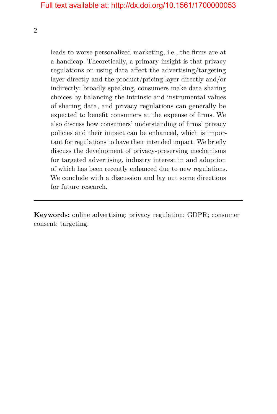2

leads to worse personalized marketing, i.e., the firms are at a handicap. Theoretically, a primary insight is that privacy regulations on using data affect the advertising/targeting layer directly and the product/pricing layer directly and/or indirectly; broadly speaking, consumers make data sharing choices by balancing the intrinsic and instrumental values of sharing data, and privacy regulations can generally be expected to benefit consumers at the expense of firms. We also discuss how consumers' understanding of firms' privacy policies and their impact can be enhanced, which is important for regulations to have their intended impact. We briefly discuss the development of privacy-preserving mechanisms for targeted advertising, industry interest in and adoption of which has been recently enhanced due to new regulations. We conclude with a discussion and lay out some directions for future research.

**Keywords:** online advertising; privacy regulation; GDPR; consumer consent; targeting.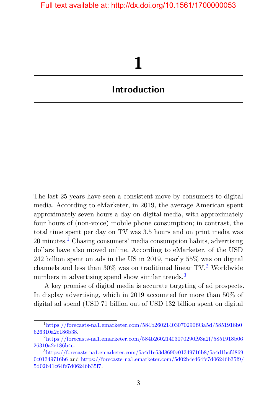# **1**

# <span id="page-10-0"></span>**Introduction**

The last 25 years have seen a consistent move by consumers to digital media. According to eMarketer, in 2019, the average American spent approximately seven hours a day on digital media, with approximately four hours of (non-voice) mobile phone consumption; in contrast, the total time spent per day on TV was 3.5 hours and on print media was  $20 \text{ minutes}$ <sup>[1](#page-10-1)</sup> Chasing consumers' media consumption habits, advertising dollars have also moved online. According to eMarketer, of the USD 242 billion spent on ads in the US in 2019, nearly 55% was on digital channels and less than  $30\%$  was on traditional linear TV.<sup>[2](#page-10-2)</sup> Worldwide numbers in advertising spend show similar trends.<sup>[3](#page-10-3)</sup>

A key promise of digital media is accurate targeting of ad prospects. In display advertising, which in 2019 accounted for more than 50% of digital ad spend (USD 71 billion out of USD 132 billion spent on digital

<span id="page-10-1"></span><sup>1</sup>[https://forecasts-na1.emarketer.com/584b26021403070290f93a5d/5851918b0](https://forecasts-na1.emarketer.com/584b26021403070290f93a5d/5851918b0626310a2c186b38) [626310a2c186b38.](https://forecasts-na1.emarketer.com/584b26021403070290f93a5d/5851918b0626310a2c186b38)

<span id="page-10-2"></span><sup>2</sup>[https://forecasts-na1.emarketer.com/584b26021403070290f93a2f/5851918b06](https://forecasts-na1.emarketer.com/584b26021403070290f93a2f/5851918b0626310a2c186b4c) [26310a2c186b4c.](https://forecasts-na1.emarketer.com/584b26021403070290f93a2f/5851918b0626310a2c186b4c)

<span id="page-10-3"></span><sup>3</sup>[https://forecasts-na1.emarketer.com/5a4d1e53d8690c01349716b8/5a4d1bcfd869](https://forecasts-na1.emarketer.com/5a4d1e53d8690c01349716b8/5a4d1bcfd8690c01349716b6) [0c01349716b6](https://forecasts-na1.emarketer.com/5a4d1e53d8690c01349716b8/5a4d1bcfd8690c01349716b6) and [https://forecasts-na1.emarketer.com/5d02b4e464fe7d06246b35f9/](https://forecasts-na1.emarketer.com/5d02b4e464fe7d06246b35f9/5d02b41c64fe7d06246b35f7) [5d02b41c64fe7d06246b35f7.](https://forecasts-na1.emarketer.com/5d02b4e464fe7d06246b35f9/5d02b41c64fe7d06246b35f7)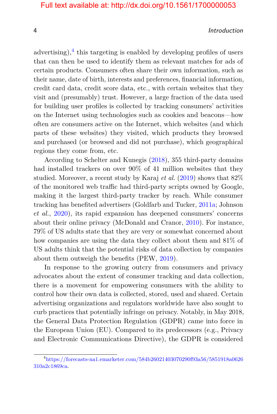#### 4 Introduction

advertising), $4$  this targeting is enabled by developing profiles of users that can then be used to identify them as relevant matches for ads of certain products. Consumers often share their own information, such as their name, date of birth, interests and preferences, financial information, credit card data, credit score data, etc., with certain websites that they visit and (presumably) trust. However, a large fraction of the data used for building user profiles is collected by tracking consumers' activities on the Internet using technologies such as cookies and beacons—how often are consumers active on the Internet, which websites (and which parts of these websites) they visited, which products they browsed and purchased (or browsed and did not purchase), which geographical regions they come from, etc.

According to Schelter and Kunegis [\(2018\)](#page-23-0), 355 third-party domains had installed trackers on over 90% of 41 million websites that they studied. Moreover, a recent study by Karaj *et al.* [\(2019\)](#page-21-0) shows that 82% of the monitored web traffic had third-party scripts owned by Google, making it the largest third-party tracker by reach. While consumer tracking has benefited advertisers (Goldfarb and Tucker, [2011a;](#page-20-0) Johnson *et al.*, [2020\)](#page-21-1), its rapid expansion has deepened consumers' concerns about their online privacy (McDonald and Cranor, [2010\)](#page-22-0). For instance, 79% of US adults state that they are very or somewhat concerned about how companies are using the data they collect about them and 81% of US adults think that the potential risks of data collection by companies about them outweigh the benefits (PEW, [2019\)](#page-22-1).

In response to the growing outcry from consumers and privacy advocates about the extent of consumer tracking and data collection, there is a movement for empowering consumers with the ability to control how their own data is collected, stored, used and shared. Certain advertising organizations and regulators worldwide have also sought to curb practices that potentially infringe on privacy. Notably, in May 2018, the General Data Protection Regulation (GDPR) came into force in the European Union (EU). Compared to its predecessors (e.g., Privacy and Electronic Communications Directive), the GDPR is considered

<span id="page-11-0"></span><sup>4</sup>[https://forecasts-na1.emarketer.com/584b26021403070290f93a56/5851918a0626](https://forecasts-na1.emarketer.com/584b26021403070290f93a56/5851918a0626310a2c1869ca) [310a2c1869ca.](https://forecasts-na1.emarketer.com/584b26021403070290f93a56/5851918a0626310a2c1869ca)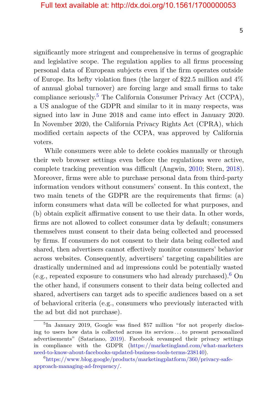significantly more stringent and comprehensive in terms of geographic and legislative scope. The regulation applies to all firms processing personal data of European subjects even if the firm operates outside of Europe. Its hefty violation fines (the larger of \$22.5 million and 4% of annual global turnover) are forcing large and small firms to take compliance seriously.[5](#page-12-0) The California Consumer Privacy Act (CCPA), a US analogue of the GDPR and similar to it in many respects, was signed into law in June 2018 and came into effect in January 2020. In November 2020, the California Privacy Rights Act (CPRA), which modified certain aspects of the CCPA, was approved by California voters.

While consumers were able to delete cookies manually or through their web browser settings even before the regulations were active, complete tracking prevention was difficult (Angwin, [2010;](#page-18-1) Stern, [2018\)](#page-23-1). Moreover, firms were able to purchase personal data from third-party information vendors without consumers' consent. In this context, the two main tenets of the GDPR are the requirements that firms: (a) inform consumers what data will be collected for what purposes, and (b) obtain explicit affirmative consent to use their data. In other words, firms are not allowed to collect consumer data by default; consumers themselves must consent to their data being collected and processed by firms. If consumers do not consent to their data being collected and shared, then advertisers cannot effectively monitor consumers' behavior across websites. Consequently, advertisers' targeting capabilities are drastically undermined and ad impressions could be potentially wasted (e.g., repeated exposure to consumers who had already purchased).<sup>[6](#page-12-1)</sup> On the other hand, if consumers consent to their data being collected and shared, advertisers can target ads to specific audiences based on a set of behavioral criteria (e.g., consumers who previously interacted with the ad but did not purchase).

<span id="page-12-0"></span><sup>&</sup>lt;sup>5</sup>In January 2019, Google was fined \$57 million "for not properly disclosing to users how data is collected across its services *. . .*to present personalized advertisements" (Satariano, [2019\)](#page-23-2). Facebook revamped their privacy settings in compliance with the GDPR [\(https://marketingland.com/what-marketers](https://marketingland.com/what-marketers-need-to-know-about-facebooks-updated-business-tools-terms-238140) [need-to-know-about-facebooks-updated-business-tools-terms-238140\)](https://marketingland.com/what-marketers-need-to-know-about-facebooks-updated-business-tools-terms-238140).

<span id="page-12-1"></span><sup>6</sup>[https://www.blog.google/products/marketingplatform/360/privacy-safe](https://www.blog.google/products/marketingplatform/360/privacy-safe-approach-managing-ad-frequency/)[approach-managing-ad-frequency/.](https://www.blog.google/products/marketingplatform/360/privacy-safe-approach-managing-ad-frequency/)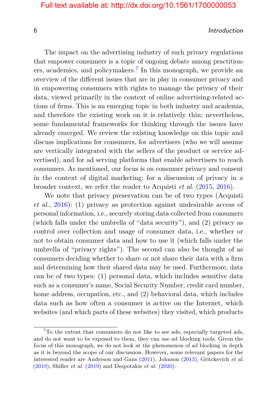#### 6 Introduction

The impact on the advertising industry of such privacy regulations that empower consumers is a topic of ongoing debate among practition-ers, academics, and policymakers.<sup>[7](#page-13-0)</sup> In this monograph, we provide an overview of the different issues that are in play in consumer privacy and in empowering consumers with rights to manage the privacy of their data, viewed primarily in the context of online advertising-related actions of firms. This is an emerging topic in both industry and academia, and therefore the existing work on it is relatively thin; nevertheless, some fundamental frameworks for thinking through the issues have already emerged. We review the existing knowledge on this topic and discuss implications for consumers, for advertisers (who we will assume are vertically integrated with the sellers of the product or service advertised), and for ad serving platforms that enable advertisers to reach consumers. As mentioned, our focus is on consumer privacy and consent in the context of digital marketing; for a discussion of privacy in a broader context, we refer the reader to Acquisti *et al.* [\(2015,](#page-18-2) [2016\)](#page-18-3).

We note that privacy preservation can be of two types (Acquisti *et al.*, [2016\)](#page-18-3): (1) privacy as protection against undesirable access of personal information, i.e., securely storing data collected from consumers (which falls under the umbrella of "data security"), and (2) privacy as control over collection and usage of consumer data, i.e., whether or not to obtain consumer data and how to use it (which falls under the umbrella of "privacy rights"). The second can also be thought of as consumers deciding whether to share or not share their data with a firm and determining how their shared data may be used. Furthermore, data can be of two types: (1) personal data, which includes sensitive data such as a consumer's name, Social Security Number, credit card number, home address, occupation, etc., and (2) behavioral data, which includes data such as how often a consumer is active on the Internet, which websites (and which parts of these websites) they visited, which products

<span id="page-13-0"></span><sup>7</sup>To the extent that consumers do not like to see ads, especially targeted ads, and do not want to be exposed to them, they can use ad blocking tools. Given the focus of this monograph, we do not look at the phenomenon of ad blocking in depth as it is beyond the scope of our discussion. However, some relevant papers for the interested reader are Anderson and Gans [\(2011\)](#page-18-4), Johnson [\(2013\)](#page-21-2), Gritckevich *et al.* [\(2019\)](#page-20-1), Shiller *et al.* [\(2019\)](#page-23-3) and Despotakis *et al.* [\(2020\)](#page-19-0).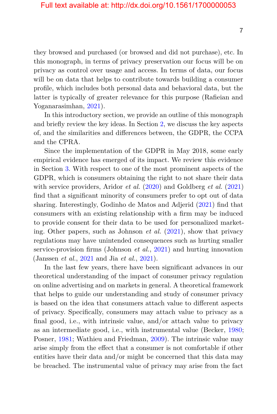they browsed and purchased (or browsed and did not purchase), etc. In this monograph, in terms of privacy preservation our focus will be on privacy as control over usage and access. In terms of data, our focus will be on data that helps to contribute towards building a consumer profile, which includes both personal data and behavioral data, but the latter is typically of greater relevance for this purpose (Rafieian and Yoganarasimhan, [2021\)](#page-22-2).

In this introductory section, we provide an outline of this monograph and briefly review the key ideas. In Section [2,](#page--1-0) we discuss the key aspects of, and the similarities and differences between, the GDPR, the CCPA and the CPRA.

Since the implementation of the GDPR in May 2018, some early empirical evidence has emerged of its impact. We review this evidence in Section [3.](#page--1-0) With respect to one of the most prominent aspects of the GDPR, which is consumers obtaining the right to not share their data with service providers, Aridor *et al.* [\(2020\)](#page-18-5) and Goldberg *et al.* [\(2021\)](#page-20-2) find that a significant minority of consumers prefer to opt out of data sharing. Interestingly, Godinho de Matos and Adjerid [\(2021\)](#page-20-3) find that consumers with an existing relationship with a firm may be induced to provide consent for their data to be used for personalized marketing. Other papers, such as Johnson *et al.* [\(2021\)](#page-21-3), show that privacy regulations may have unintended consequences such as hurting smaller service-provision firms (Johnson *et al.*, [2021\)](#page-21-3) and hurting innovation (Janssen *et al.*, [2021](#page-20-4) and Jia *et al.*, [2021\)](#page-21-4).

In the last few years, there have been significant advances in our theoretical understanding of the impact of consumer privacy regulation on online advertising and on markets in general. A theoretical framework that helps to guide our understanding and study of consumer privacy is based on the idea that consumers attach value to different aspects of privacy. Specifically, consumers may attach value to privacy as a final good, i.e., with intrinsic value, and/or attach value to privacy as an intermediate good, i.e., with instrumental value (Becker, [1980;](#page-19-1) Posner, [1981;](#page-22-3) Wathieu and Friedman, [2009\)](#page-23-4). The intrinsic value may arise simply from the effect that a consumer is not comfortable if other entities have their data and/or might be concerned that this data may be breached. The instrumental value of privacy may arise from the fact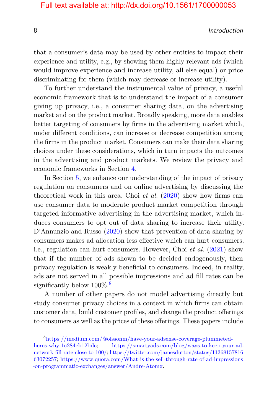#### 8 Introduction and the set of the set of the set of the set of the set of the set of the set of the set of the set of the set of the set of the set of the set of the set of the set of the set of the set of the set of the s

that a consumer's data may be used by other entities to impact their experience and utility, e.g., by showing them highly relevant ads (which would improve experience and increase utility, all else equal) or price discriminating for them (which may decrease or increase utility).

To further understand the instrumental value of privacy, a useful economic framework that is to understand the impact of a consumer giving up privacy, i.e., a consumer sharing data, on the advertising market and on the product market. Broadly speaking, more data enables better targeting of consumers by firms in the advertising market which, under different conditions, can increase or decrease competition among the firms in the product market. Consumers can make their data sharing choices under these considerations, which in turn impacts the outcomes in the advertising and product markets. We review the privacy and economic frameworks in Section [4.](#page--1-0)

In Section [5,](#page--1-0) we enhance our understanding of the impact of privacy regulation on consumers and on online advertising by discussing the theoretical work in this area. Choi *et al.* [\(2020\)](#page-19-2) show how firms can use consumer data to moderate product market competition through targeted informative advertising in the advertising market, which induces consumers to opt out of data sharing to increase their utility. D'Annunzio and Russo [\(2020\)](#page-19-3) show that prevention of data sharing by consumers makes ad allocation less effective which can hurt consumers, i.e., regulation can hurt consumers. However, Choi *et al.* [\(2021\)](#page-19-4) show that if the number of ads shown to be decided endogenously, then privacy regulation is weakly beneficial to consumers. Indeed, in reality, ads are not served in all possible impressions and ad fill rates can be significantly below  $100\%$ .<sup>[8](#page-15-0)</sup>

A number of other papers do not model advertising directly but study consumer privacy choices in a context in which firms can obtain customer data, build customer profiles, and change the product offerings to consumers as well as the prices of these offerings. These papers include

<span id="page-15-0"></span><sup>8</sup>[https://medium.com/@olssonm/have-your-adsense-coverage-plummeted](https://medium.com/@olssonm/have-your-adsense-coverage-plummeted-heres-why-1c284cb12bdc)[heres-why-1c284cb12bdc;](https://medium.com/@olssonm/have-your-adsense-coverage-plummeted-heres-why-1c284cb12bdc) [https://smartyads.com/blog/ways-to-keep-your-ad](https://smartyads.com/blog/ways-to-keep-your-ad-network-fill-rate-close-to-100/)[network-fill-rate-close-to-100/;](https://smartyads.com/blog/ways-to-keep-your-ad-network-fill-rate-close-to-100/) [https://twitter.com/jamesdutton/status/11368157816](https://twitter.com/jamesdutton/status/1136815781663072257) [63072257;](https://twitter.com/jamesdutton/status/1136815781663072257) [https://www.quora.com/What-is-the-sell-through-rate-of-ad-impressions](https://www.quora.com/What-is-the-sell-through-rate-of-ad-impressions-on-programmatic-exchanges/answer/Andre-Atomx) [-on-programmatic-exchanges/answer/Andre-Atomx.](https://www.quora.com/What-is-the-sell-through-rate-of-ad-impressions-on-programmatic-exchanges/answer/Andre-Atomx)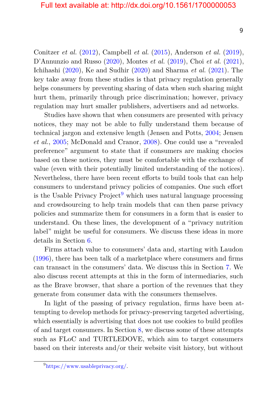Conitzer *et al.* [\(2012\)](#page-19-5), Campbell *et al.* [\(2015\)](#page-19-6), Anderson *et al.* [\(2019\)](#page-18-6), D'Annunzio and Russo [\(2020\)](#page-19-3), Montes *et al.* [\(2019\)](#page-22-4), Choi *et al.* [\(2021\)](#page-19-4), Ichihashi [\(2020\)](#page-20-5), Ke and Sudhir [\(2020\)](#page-21-5) and Sharma *et al.* [\(2021\)](#page-23-5). The key take away from these studies is that privacy regulation generally helps consumers by preventing sharing of data when such sharing might hurt them, primarily through price discrimination; however, privacy regulation may hurt smaller publishers, advertisers and ad networks.

Studies have shown that when consumers are presented with privacy notices, they may not be able to fully understand them because of technical jargon and extensive length (Jensen and Potts, [2004;](#page-21-6) Jensen *et al.*, [2005;](#page-21-7) McDonald and Cranor, [2008\)](#page-22-5). One could use a "revealed preference" argument to state that if consumers are making chocies based on these notices, they must be comfortable with the exchange of value (even with their potentially limited understanding of the notices). Nevertheless, there have been recent efforts to build tools that can help consumers to understand privacy policies of companies. One such effort is the Usable Privacy Project<sup>[9](#page-16-0)</sup> which uses natural language processing and crowdsourcing to help train models that can then parse privacy policies and summarize them for consumers in a form that is easier to understand. On these lines, the development of a "privacy nutrition label" might be useful for consumers. We discuss these ideas in more details in Section [6.](#page--1-0)

Firms attach value to consumers' data and, starting with Laudon [\(1996\)](#page-21-8), there has been talk of a marketplace where consumers and firms can transact in the consumers' data. We discuss this in Section [7.](#page--1-0) We also discuss recent attempts at this in the form of intermediaries, such as the Brave browser, that share a portion of the revenues that they generate from consumer data with the consumers themselves.

In light of the passing of privacy regulation, firms have been attempting to develop methods for privacy-preserving targeted advertising, which essentially is advertising that does not use cookies to build profiles of and target consumers. In Section [8,](#page--1-0) we discuss some of these attempts such as FLoC and TURTLEDOVE, which aim to target consumers based on their interests and/or their website visit history, but without

9

<span id="page-16-0"></span><sup>9</sup>[https://www.usableprivacy.org/.](https://www.usableprivacy.org/)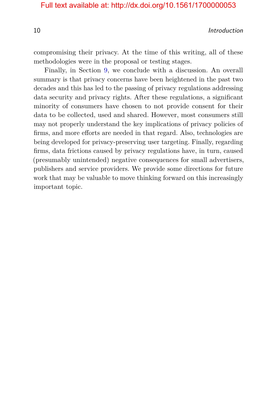10 Introduction

compromising their privacy. At the time of this writing, all of these methodologies were in the proposal or testing stages.

Finally, in Section [9,](#page--1-0) we conclude with a discussion. An overall summary is that privacy concerns have been heightened in the past two decades and this has led to the passing of privacy regulations addressing data security and privacy rights. After these regulations, a significant minority of consumers have chosen to not provide consent for their data to be collected, used and shared. However, most consumers still may not properly understand the key implications of privacy policies of firms, and more efforts are needed in that regard. Also, technologies are being developed for privacy-preserving user targeting. Finally, regarding firms, data frictions caused by privacy regulations have, in turn, caused (presumably unintended) negative consequences for small advertisers, publishers and service providers. We provide some directions for future work that may be valuable to move thinking forward on this increasingly important topic.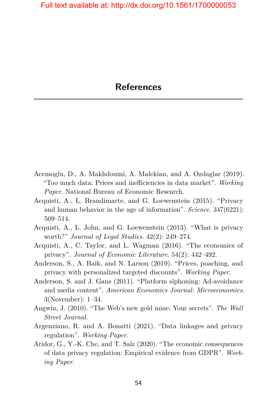- <span id="page-18-0"></span>Acemoglu, D., A. Makhdoumi, A. Malekian, and A. Ozdaglar (2019). "Too much data: Prices and inefficiencies in data market". *Working Paper*. National Bureau of Economic Research.
- <span id="page-18-2"></span>Acquisti, A., L. Brandimarte, and G. Loewenstein (2015). "Privacy and human behavior in the age of information". *Science*. 347(6221): 509–514.
- Acquisti, A., L. John, and G. Loewenstein (2013). "What is privacy worth?" *Journal of Legal Studies*. 42(2): 249–274.
- <span id="page-18-3"></span>Acquisti, A., C. Taylor, and L. Wagman (2016). "The economics of privacy". *Journal of Economic Literature*. 54(2): 442–492.
- <span id="page-18-6"></span>Anderson, S., A. Baik, and N. Larson (2019). "Prices, poaching, and privacy with personalized targeted discounts". *Working Paper*.
- <span id="page-18-4"></span>Anderson, S. and J. Gans (2011). "Platform siphoning: Ad-avoidance and media content". *American Economics Journal: Microeconomics*. 3(November): 1–34.
- <span id="page-18-1"></span>Angwin, J. (2010). "The Web's new gold mine: Your secrets". *The Wall Street Journal*.
- Argenziano, R. and A. Bonatti (2021). "Data linkages and privacy regulation". *Working Paper*.
- <span id="page-18-5"></span>Aridor, G., Y.-K. Che, and T. Salz (2020). "The economic consequences of data privacy regulation: Empirical evidence from GDPR". *Working Paper*.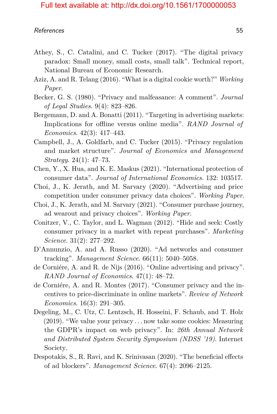- Athey, S., C. Catalini, and C. Tucker (2017). "The digital privacy paradox: Small money, small costs, small talk". Technical report, National Bureau of Economic Research.
- Aziz, A. and R. Telang (2016). "What is a digital cookie worth?" *Working Paper*.
- <span id="page-19-1"></span>Becker, G. S. (1980). "Privacy and malfeasance: A comment". *Journal of Legal Studies*. 9(4): 823–826.
- Bergemann, D. and A. Bonatti (2011). "Targeting in advertising markets: Implications for offline versus online media". *RAND Journal of Economics*. 42(3): 417–443.
- <span id="page-19-6"></span>Campbell, J., A. Goldfarb, and C. Tucker (2015). "Privacy regulation and market structure". *Journal of Economics and Management Strategy*. 24(1): 47–73.
- Chen, Y., X. Hua, and K. E. Maskus (2021). "International protection of consumer data". *Journal of International Economics*. 132: 103517.
- <span id="page-19-2"></span>Choi, J., K. Jerath, and M. Sarvary (2020). "Advertising and price competition under consumer privacy data choices". *Working Paper*.
- <span id="page-19-4"></span>Choi, J., K. Jerath, and M. Sarvary (2021). "Consumer purchase journey, ad wearout and privacy choices". *Working Paper*.
- <span id="page-19-5"></span>Conitzer, V., C. Taylor, and L. Wagman (2012). "Hide and seek: Costly consumer privacy in a market with repeat purchases". *Marketing Science*. 31(2): 277–292.
- <span id="page-19-3"></span>D'Annunzio, A. and A. Russo (2020). "Ad networks and consumer tracking". *Management Science*. 66(11): 5040–5058.
- de Corniére, A. and R. de Nijs (2016). "Online advertising and privacy". *RAND Journal of Economics*. 47(1): 48–72.
- de Corniére, A. and R. Montes (2017). "Consumer privacy and the incentives to price-discriminate in online markets". *Review of Network Economics*. 16(3): 291–305.
- Degeling, M., C. Utz, C. Lentzsch, H. Hosseini, F. Schaub, and T. Holz (2019). "We value your privacy *. . .* now take some cookies: Measuring the GDPR's impact on web privacy". In: *26th Annual Network and Distributed System Security Symposium (NDSS '19)*. Internet Society.
- <span id="page-19-0"></span>Despotakis, S., R. Ravi, and K. Srinivasan (2020). "The beneficial effects of ad blockers". *Management Science*. 67(4): 2096–2125.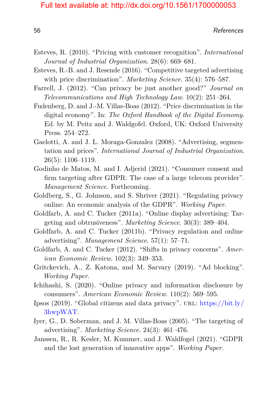- Esteves, R. (2010). "Pricing with customer recognition". *International Journal of Industrial Organization*. 28(6): 669–681.
- Esteves, R.-B. and J. Resende (2016). "Competitive targeted advertising with price discrimination". *Marketing Science*. 35(4): 576–587.
- Farrell, J. (2012). "Can privacy be just another good?" *Journal on Telecommunications and High Technology Law*. 10(2): 251–264.
- Fudenberg, D. and J.-M. Villas-Boas (2012). "Price discrimination in the digital economy". In: *The Oxford Handbook of the Digital Economy*. Ed. by M. Peitz and J. Waldgofel. Oxford, UK: Oxford University Press. 254–272.
- Gaelotti, A. and J. L. Moraga-Gonzalez (2008). "Advertising, segmentation and prices". *International Journal of Industrial Organization*. 26(5): 1106–1119.
- <span id="page-20-3"></span>Godinho de Matos, M. and I. Adjerid (2021). "Consumer consent and firm targeting after GDPR: The case of a large telecom provider". *Management Science.* Forthcoming.
- <span id="page-20-2"></span>Goldberg, S., G. Johnson, and S. Shriver (2021). "Regulating privacy online: An economic analysis of the GDPR". *Working Paper*.
- <span id="page-20-0"></span>Goldfarb, A. and C. Tucker (2011a). "Online display advertising: Targeting and obtrusiveness". *Marketing Science*. 30(3): 389–404.
- Goldfarb, A. and C. Tucker (2011b). "Privacy regulation and online advertising". *Management Science*. 57(1): 57–71.
- Goldfarb, A. and C. Tucker (2012). "Shifts in privacy concerns". *American Economic Review*. 102(3): 349–353.
- <span id="page-20-1"></span>Gritckevich, A., Z. Katona, and M. Sarvary (2019). "Ad blocking". *Working Paper*.
- <span id="page-20-5"></span>Ichihashi, S. (2020). "Online privacy and information disclosure by consumers". *American Economic Review*. 110(2): 569–595.
- Ipsos (2019). "Global citizens and data privacy". URL: [https://bit.ly/](https://bit.ly/3hwpWAT) [3hwpWAT.](https://bit.ly/3hwpWAT)
- Iyer, G., D. Soberman, and J. M. Villas-Boas (2005). "The targeting of advertising". *Marketing Science*. 24(3): 461–476.
- <span id="page-20-4"></span>Janssen, R., R. Kesler, M. Kummer, and J. Waldfogel (2021). "GDPR and the lost generation of innovative apps". *Working Paper*.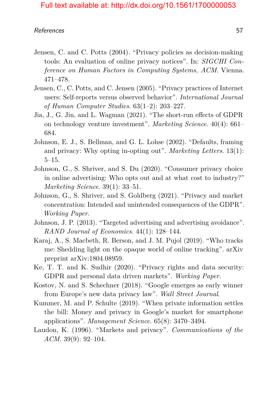- <span id="page-21-6"></span>Jensen, C. and C. Potts (2004). "Privacy policies as decision-making tools: An evaluation of online privacy notices". In: *SIGCHI Conference on Human Factors in Computing Systems, ACM*. Vienna. 471–478.
- <span id="page-21-7"></span>Jensen, C., C. Potts, and C. Jensen (2005). "Privacy practices of Internet users: Self-reports versus observed behavior". *International Journal of Human Computer Studies*. 63(1–2): 203–227.
- <span id="page-21-4"></span>Jia, J., G. Jin, and L. Wagman (2021). "The short-run effects of GDPR on technology venture investment". *Marketing Science*. 40(4): 661– 684.
- Johnson, E. J., S. Bellman, and G. L. Lohse (2002). "Defaults, framing and privacy: Why opting in-opting out". *Marketing Letters*. 13(1): 5–15.
- <span id="page-21-1"></span>Johnson, G., S. Shriver, and S. Du (2020). "Consumer privacy choice in online advertising: Who opts out and at what cost to industry?" *Marketing Science*. 39(1): 33–51.
- <span id="page-21-3"></span>Johnson, G., S. Shriver, and S. Goldberg (2021). "Privacy and market concentration: Intended and unintended consequences of the GDPR". *Working Paper*.
- <span id="page-21-2"></span>Johnson, J. P. (2013). "Targeted advertising and advertising avoidance". *RAND Journal of Economics*. 44(1): 128–144.
- <span id="page-21-0"></span>Karaj, A., S. Macbeth, R. Berson, and J. M. Pujol (2019). "Who tracks me: Shedding light on the opaque world of online tracking". arXiv preprint arXiv:1804.08959.
- <span id="page-21-5"></span>Ke, T. T. and K. Sudhir (2020). "Privacy rights and data security: GDPR and personal data driven markets". *Working Paper*.
- Kostov, N. and S. Schechner (2018). "Google emerges as early winner from Europe's new data privacy law". *Wall Street Journal*.
- Kummer, M. and P. Schulte (2019). "When private information settles the bill: Money and privacy in Google's market for smartphone applications". *Management Science*. 65(8): 3470–3494.
- <span id="page-21-8"></span>Laudon, K. (1996). "Markets and privacy". *Communications of the ACM*. 39(9): 92–104.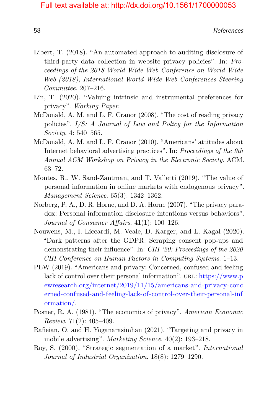- Libert, T. (2018). "An automated approach to auditing disclosure of third-party data collection in website privacy policies". In: *Proceedings of the 2018 World Wide Web Conference on World Wide Web (2018), International World Wide Web Conferences Steering Committee*. 207–216.
- Lin, T. (2020). "Valuing intrinsic and instrumental preferences for privacy". *Working Paper*.
- <span id="page-22-5"></span>McDonald, A. M. and L. F. Cranor (2008). "The cost of reading privacy policies". *I/S: A Journal of Law and Policy for the Information Society*. 4: 540–565.
- <span id="page-22-0"></span>McDonald, A. M. and L. F. Cranor (2010). "Americans' attitudes about Internet behavioral advertising practices". In: *Proceedings of the 9th Annual ACM Workshop on Privacy in the Electronic Society*. ACM. 63–72.
- <span id="page-22-4"></span>Montes, R., W. Sand-Zantman, and T. Valletti (2019). "The value of personal information in online markets with endogenous privacy". *Management Science*. 65(3): 1342–1362.
- Norberg, P. A., D. R. Horne, and D. A. Horne (2007). "The privacy paradox: Personal information disclosure intentions versus behaviors". *Journal of Consumer Affairs*. 41(1): 100–126.
- Nouwens, M., I. Liccardi, M. Veale, D. Karger, and L. Kagal (2020). "Dark patterns after the GDPR: Scraping consent pop-ups and demonstrating their influence". In: *CHI '20: Proceedings of the 2020 CHI Conference on Human Factors in Computing Systems*. 1–13.
- <span id="page-22-1"></span>PEW (2019). "Americans and privacy: Concerned, confused and feeling lack of control over their personal information". URL: [https://www.p](https://www.pewresearch.org/internet/2019/11/15/americans-and-privacy-concerned-confused-and-feeling-lack-of-control-over-their-personal-information/) [ewresearch.org/internet/2019/11/15/americans-and-privacy-conc](https://www.pewresearch.org/internet/2019/11/15/americans-and-privacy-concerned-confused-and-feeling-lack-of-control-over-their-personal-information/) [erned-confused-and-feeling-lack-of-control-over-their-personal-inf](https://www.pewresearch.org/internet/2019/11/15/americans-and-privacy-concerned-confused-and-feeling-lack-of-control-over-their-personal-information/) [ormation/.](https://www.pewresearch.org/internet/2019/11/15/americans-and-privacy-concerned-confused-and-feeling-lack-of-control-over-their-personal-information/)
- <span id="page-22-3"></span>Posner, R. A. (1981). "The economics of privacy". *American Economic Review*. 71(2): 405–409.
- <span id="page-22-2"></span>Rafieian, O. and H. Yoganarasimhan (2021). "Targeting and privacy in mobile advertising". *Marketing Science*. 40(2): 193–218.
- Roy, S. (2000). "Strategic segmentation of a market". *International Journal of Industrial Organization*. 18(8): 1279–1290.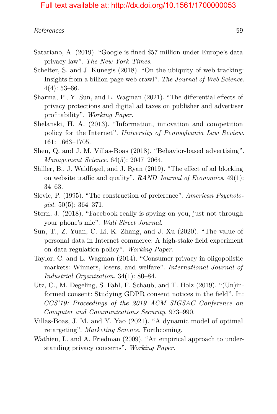- <span id="page-23-2"></span>Satariano, A. (2019). "Google is fined \$57 million under Europe's data privacy law". *The New York Times*.
- <span id="page-23-0"></span>Schelter, S. and J. Kunegis (2018). "On the ubiquity of web tracking: Insights from a billion-page web crawl". *The Journal of Web Science*.  $4(4): 53-66.$
- <span id="page-23-5"></span>Sharma, P., Y. Sun, and L. Wagman (2021). "The differential effects of privacy protections and digital ad taxes on publisher and advertiser profitability". *Working Paper*.
- Shelanski, H. A. (2013). "Information, innovation and competition policy for the Internet". *University of Pennsylvania Law Review*. 161: 1663–1705.
- Shen, Q. and J. M. Villas-Boas (2018). "Behavior-based advertising". *Management Science*. 64(5): 2047–2064.
- <span id="page-23-3"></span>Shiller, B., J. Waldfogel, and J. Ryan (2019). "The effect of ad blocking on website traffic and quality". *RAND Journal of Economics*. 49(1): 34–63.
- Slovic, P. (1995). "The construction of preference". *American Psychologist*. 50(5): 364–371.
- <span id="page-23-1"></span>Stern, J. (2018). "Facebook really is spying on you, just not through your phone's mic". *Wall Street Journal*.
- Sun, T., Z. Yuan, C. Li, K. Zhang, and J. Xu (2020). "The value of personal data in Internet commerce: A high-stake field experiment on data regulation policy". *Working Paper*.
- Taylor, C. and L. Wagman (2014). "Consumer privacy in oligopolistic markets: Winners, losers, and welfare". *International Journal of Industrial Organization*. 34(1): 80–84.
- Utz, C., M. Degeling, S. Fahl, F. Schaub, and T. Holz (2019). "(Un)informed consent: Studying GDPR consent notices in the field". In: *CCS'19: Proceedings of the 2019 ACM SIGSAC Conference on Computer and Communications Security*. 973–990.
- Villas-Boas, J. M. and Y. Yao (2021). "A dynamic model of optimal retargeting". *Marketing Science*. Forthcoming.
- <span id="page-23-4"></span>Wathieu, L. and A. Friedman (2009). "An empirical approach to understanding privacy concerns". *Working Paper*.